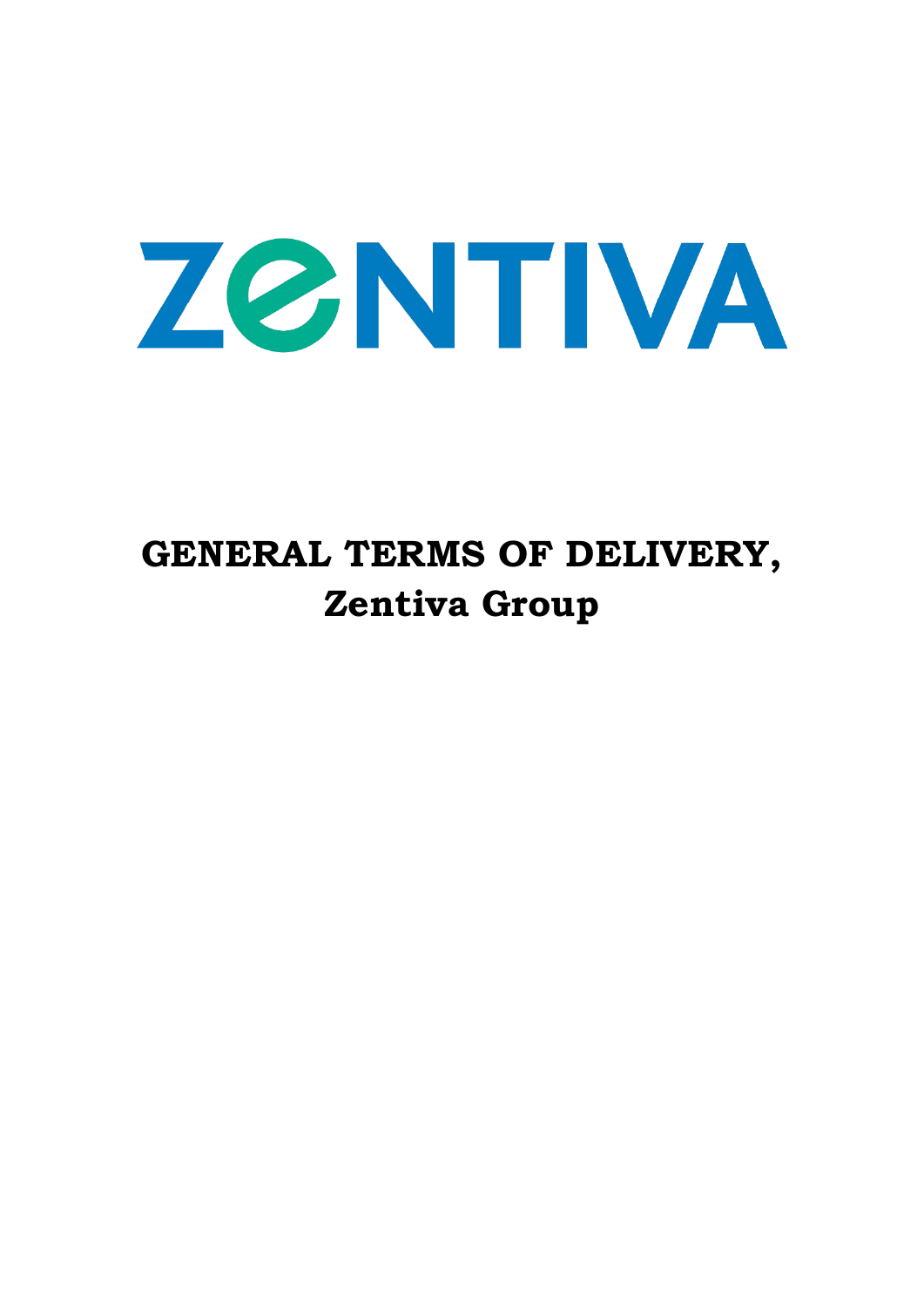

# **GENERAL TERMS OF DELIVERY, Zentiva Group**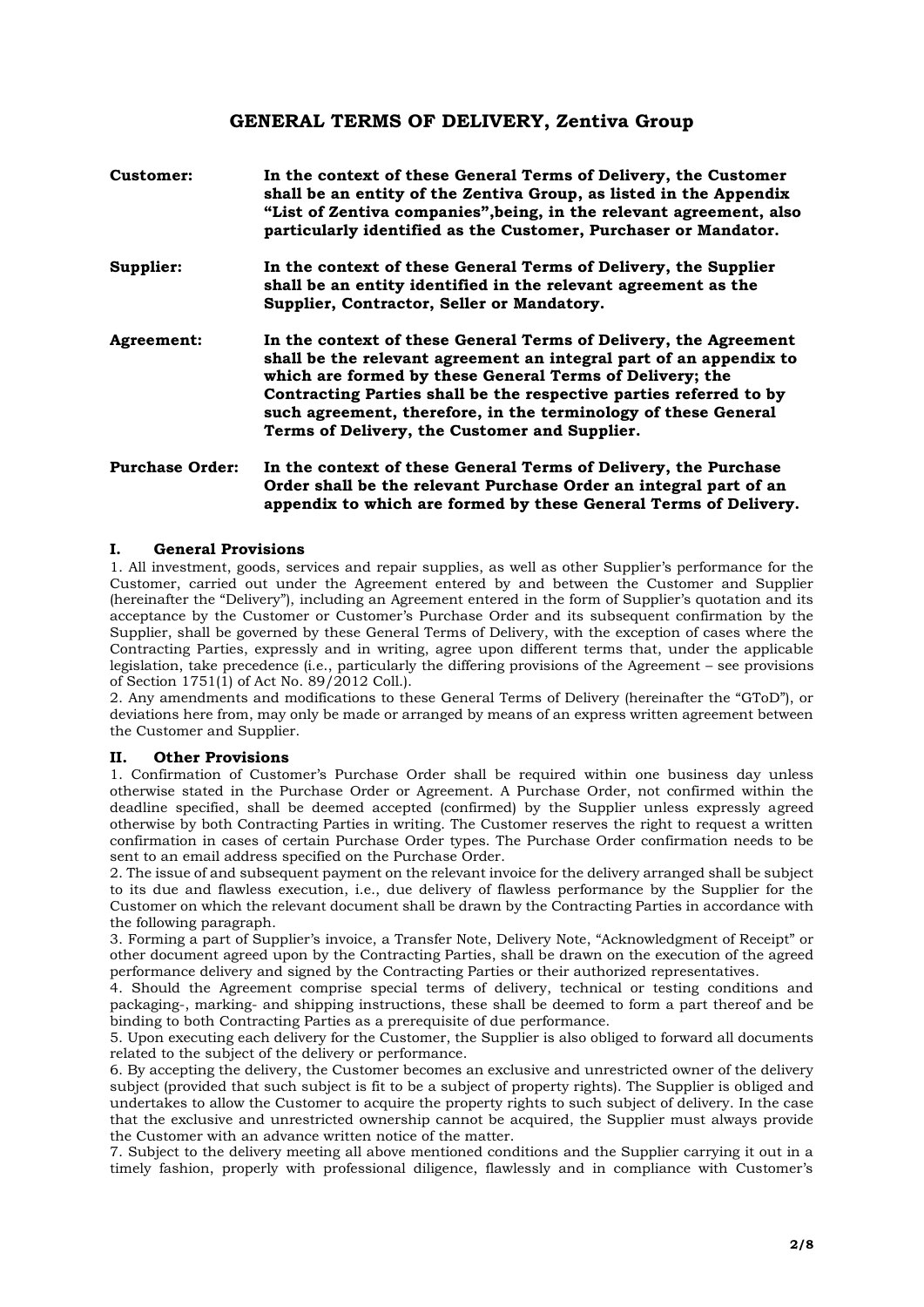# **GENERAL TERMS OF DELIVERY, Zentiva Group**

| Customer:  | In the context of these General Terms of Delivery, the Customer<br>shall be an entity of the Zentiva Group, as listed in the Appendix<br>"List of Zentiva companies", being, in the relevant agreement, also<br>particularly identified as the Customer, Purchaser or Mandator.                                                                                                             |
|------------|---------------------------------------------------------------------------------------------------------------------------------------------------------------------------------------------------------------------------------------------------------------------------------------------------------------------------------------------------------------------------------------------|
| Supplier:  | In the context of these General Terms of Delivery, the Supplier<br>shall be an entity identified in the relevant agreement as the<br>Supplier, Contractor, Seller or Mandatory.                                                                                                                                                                                                             |
| Agreement: | In the context of these General Terms of Delivery, the Agreement<br>shall be the relevant agreement an integral part of an appendix to<br>which are formed by these General Terms of Delivery; the<br>Contracting Parties shall be the respective parties referred to by<br>such agreement, therefore, in the terminology of these General<br>Terms of Delivery, the Customer and Supplier. |

# **Purchase Order: In the context of these General Terms of Delivery, the Purchase Order shall be the relevant Purchase Order an integral part of an appendix to which are formed by these General Terms of Delivery.**

#### **I. General Provisions**

1. All investment, goods, services and repair supplies, as well as other Supplier's performance for the Customer, carried out under the Agreement entered by and between the Customer and Supplier (hereinafter the "Delivery"), including an Agreement entered in the form of Supplier's quotation and its acceptance by the Customer or Customer's Purchase Order and its subsequent confirmation by the Supplier, shall be governed by these General Terms of Delivery, with the exception of cases where the Contracting Parties, expressly and in writing, agree upon different terms that, under the applicable legislation, take precedence (i.e., particularly the differing provisions of the Agreement – see provisions of Section 1751(1) of Act No. 89/2012 Coll.).

2. Any amendments and modifications to these General Terms of Delivery (hereinafter the "GToD"), or deviations here from, may only be made or arranged by means of an express written agreement between the Customer and Supplier.

#### **II. Other Provisions**

1. Confirmation of Customer's Purchase Order shall be required within one business day unless otherwise stated in the Purchase Order or Agreement. A Purchase Order, not confirmed within the deadline specified, shall be deemed accepted (confirmed) by the Supplier unless expressly agreed otherwise by both Contracting Parties in writing. The Customer reserves the right to request a written confirmation in cases of certain Purchase Order types. The Purchase Order confirmation needs to be sent to an email address specified on the Purchase Order.

2. The issue of and subsequent payment on the relevant invoice for the delivery arranged shall be subject to its due and flawless execution, i.e., due delivery of flawless performance by the Supplier for the Customer on which the relevant document shall be drawn by the Contracting Parties in accordance with the following paragraph.

3. Forming a part of Supplier's invoice, a Transfer Note, Delivery Note, "Acknowledgment of Receipt" or other document agreed upon by the Contracting Parties, shall be drawn on the execution of the agreed performance delivery and signed by the Contracting Parties or their authorized representatives.

4. Should the Agreement comprise special terms of delivery, technical or testing conditions and packaging-, marking- and shipping instructions, these shall be deemed to form a part thereof and be binding to both Contracting Parties as a prerequisite of due performance.

5. Upon executing each delivery for the Customer, the Supplier is also obliged to forward all documents related to the subject of the delivery or performance.

6. By accepting the delivery, the Customer becomes an exclusive and unrestricted owner of the delivery subject (provided that such subject is fit to be a subject of property rights). The Supplier is obliged and undertakes to allow the Customer to acquire the property rights to such subject of delivery. In the case that the exclusive and unrestricted ownership cannot be acquired, the Supplier must always provide the Customer with an advance written notice of the matter.

7. Subject to the delivery meeting all above mentioned conditions and the Supplier carrying it out in a timely fashion, properly with professional diligence, flawlessly and in compliance with Customer's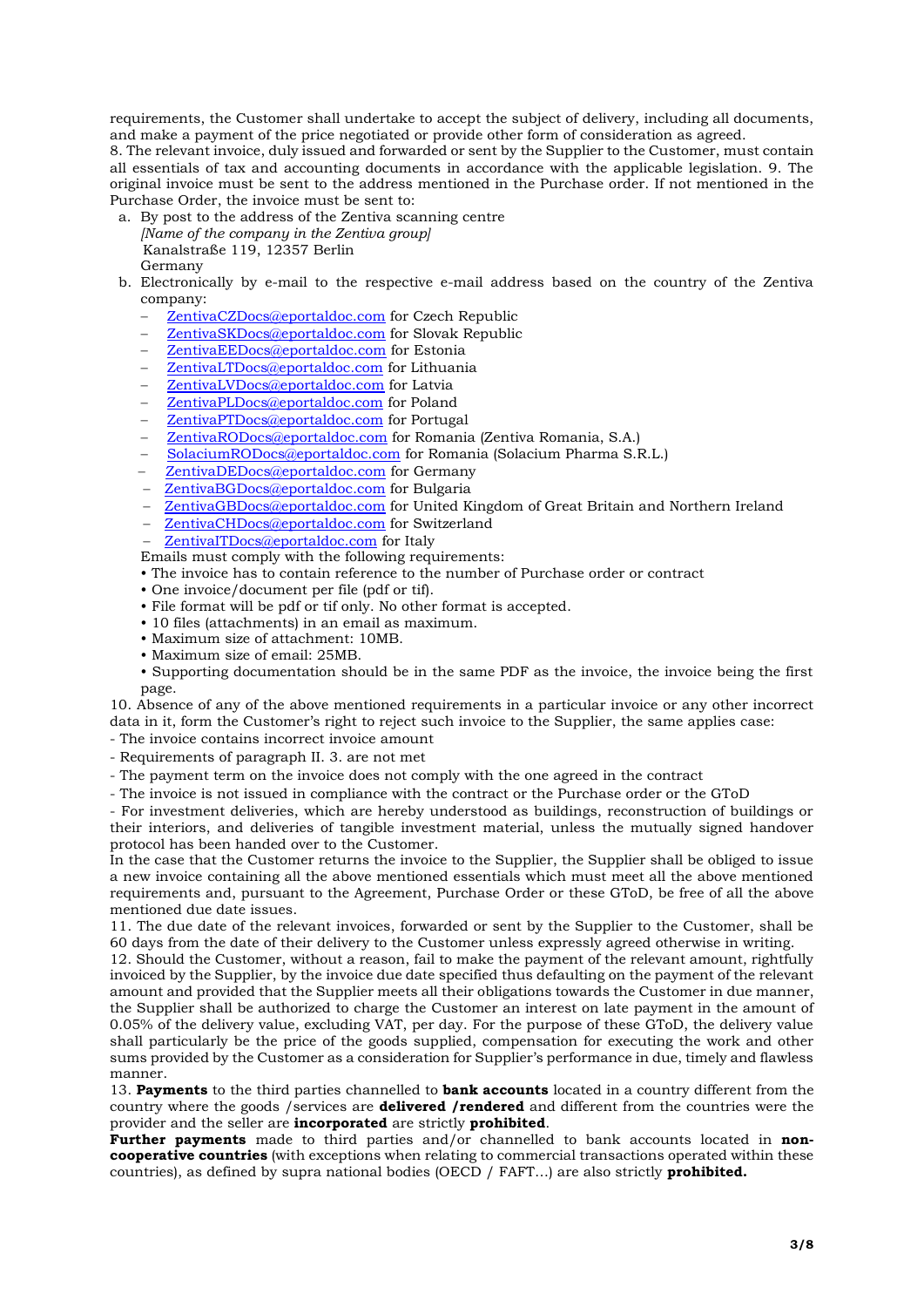requirements, the Customer shall undertake to accept the subject of delivery, including all documents, and make a payment of the price negotiated or provide other form of consideration as agreed.

8. The relevant invoice, duly issued and forwarded or sent by the Supplier to the Customer, must contain all essentials of tax and accounting documents in accordance with the applicable legislation. 9. The original invoice must be sent to the address mentioned in the Purchase order. If not mentioned in the Purchase Order, the invoice must be sent to:

- a. By post to the address of the Zentiva scanning centre *[Name of the company in the Zentiva group]* Kanalstraße 119, 12357 Berlin Germany
- b. Electronically by e-mail to the respective e-mail address based on the country of the Zentiva company:
	- − [ZentivaCZDocs@eportaldoc.com](mailto:ZentivaCZDocs@eportaldoc.com) for Czech Republic
	- [ZentivaSKDocs@eportaldoc.com](mailto:ZentivaSKDocs@eportaldoc.com) for Slovak Republic
	- − [ZentivaEEDocs@eportaldoc.com](mailto:ZentivaEEDocs@eportaldoc.com) for Estonia
	- − [ZentivaLTDocs@eportaldoc.com](mailto:ZentivaLTDocs@eportaldoc.com) for Lithuania
	- − [ZentivaLVDocs@eportaldoc.com](mailto:ZentivaLVDocs@eportaldoc.com) for Latvia
	- − [ZentivaPLDocs@eportaldoc.com](mailto:ZentivaPLDocs@eportaldoc.com) for Poland
	- − [ZentivaPTDocs@eportaldoc.com](mailto:ZentivaPTDocs@eportaldoc.com) for Portugal
	- − [ZentivaRODocs@eportaldoc.com](mailto:ZentivaRODocs@eportaldoc.com) for Romania (Zentiva Romania, S.A.)
	- − [SolaciumRODocs@eportaldoc.com](mailto:SolaciumRODocs@eportaldoc.com) for Romania (Solacium Pharma S.R.L.)
	- − [ZentivaDEDocs@eportaldoc.com](mailto:ZentivaDEDocs@eportaldoc.com) for Germany
	- − [ZentivaBGDocs@eportaldoc.com](mailto:ZentivaBGDocs@eportaldoc.com) for Bulgaria
	- [ZentivaGBDocs@eportaldoc.com](mailto:ZentivaGBDocs@eportaldoc.com) for United Kingdom of Great Britain and Northern Ireland
	- − [ZentivaCHDocs@eportaldoc.com](mailto:ZentivaCHDocs@eportaldoc.com) for Switzerland
	- [ZentivaITDocs@eportaldoc.com](mailto:ZentivaITDocs@eportaldoc.com) for Italy

Emails must comply with the following requirements:

- The invoice has to contain reference to the number of Purchase order or contract
- One invoice/document per file (pdf or tif).
- File format will be pdf or tif only. No other format is accepted.
- 10 files (attachments) in an email as maximum.
- Maximum size of attachment: 10MB.
- Maximum size of email: 25MB.
- Supporting documentation should be in the same PDF as the invoice, the invoice being the first page.

10. Absence of any of the above mentioned requirements in a particular invoice or any other incorrect data in it, form the Customer's right to reject such invoice to the Supplier, the same applies case:

- The invoice contains incorrect invoice amount
- Requirements of paragraph II. 3. are not met
- The payment term on the invoice does not comply with the one agreed in the contract
- The invoice is not issued in compliance with the contract or the Purchase order or the GToD

- For investment deliveries, which are hereby understood as buildings, reconstruction of buildings or their interiors, and deliveries of tangible investment material, unless the mutually signed handover protocol has been handed over to the Customer.

In the case that the Customer returns the invoice to the Supplier, the Supplier shall be obliged to issue a new invoice containing all the above mentioned essentials which must meet all the above mentioned requirements and, pursuant to the Agreement, Purchase Order or these GToD, be free of all the above mentioned due date issues.

11. The due date of the relevant invoices, forwarded or sent by the Supplier to the Customer, shall be 60 days from the date of their delivery to the Customer unless expressly agreed otherwise in writing.

12. Should the Customer, without a reason, fail to make the payment of the relevant amount, rightfully invoiced by the Supplier, by the invoice due date specified thus defaulting on the payment of the relevant amount and provided that the Supplier meets all their obligations towards the Customer in due manner, the Supplier shall be authorized to charge the Customer an interest on late payment in the amount of 0.05% of the delivery value, excluding VAT, per day. For the purpose of these GToD, the delivery value shall particularly be the price of the goods supplied, compensation for executing the work and other sums provided by the Customer as a consideration for Supplier's performance in due, timely and flawless manner.

13. **Payments** to the third parties channelled to **bank accounts** located in a country different from the country where the goods /services are **delivered /rendered** and different from the countries were the provider and the seller are **incorporated** are strictly **prohibited**.

**Further payments** made to third parties and/or channelled to bank accounts located in **noncooperative countries** (with exceptions when relating to commercial transactions operated within these countries), as defined by supra national bodies (OECD / FAFT…) are also strictly **prohibited.**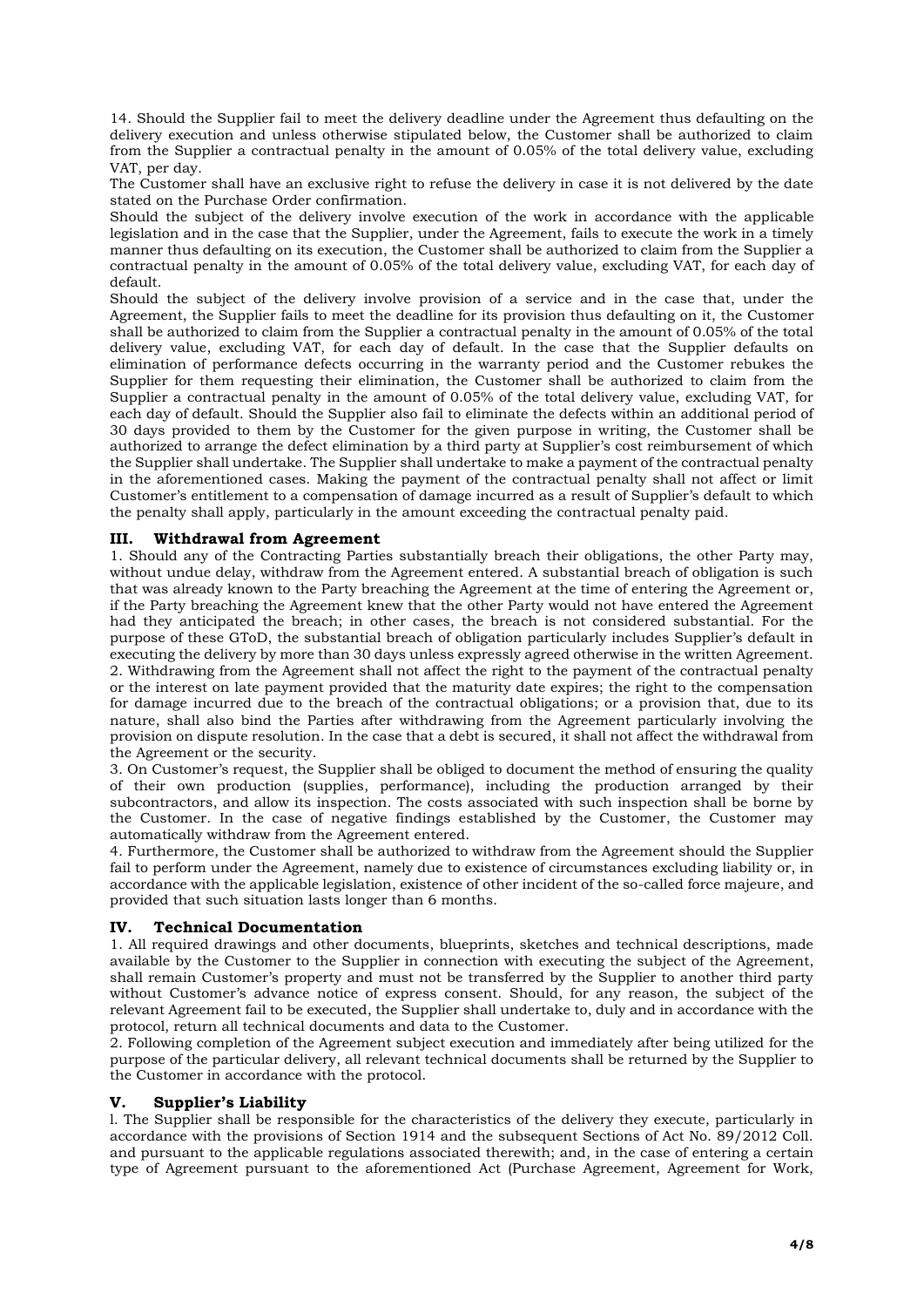14. Should the Supplier fail to meet the delivery deadline under the Agreement thus defaulting on the delivery execution and unless otherwise stipulated below, the Customer shall be authorized to claim from the Supplier a contractual penalty in the amount of 0.05% of the total delivery value, excluding VAT, per day.

The Customer shall have an exclusive right to refuse the delivery in case it is not delivered by the date stated on the Purchase Order confirmation.

Should the subject of the delivery involve execution of the work in accordance with the applicable legislation and in the case that the Supplier, under the Agreement, fails to execute the work in a timely manner thus defaulting on its execution, the Customer shall be authorized to claim from the Supplier a contractual penalty in the amount of 0.05% of the total delivery value, excluding VAT, for each day of default.

Should the subject of the delivery involve provision of a service and in the case that, under the Agreement, the Supplier fails to meet the deadline for its provision thus defaulting on it, the Customer shall be authorized to claim from the Supplier a contractual penalty in the amount of 0.05% of the total delivery value, excluding VAT, for each day of default. In the case that the Supplier defaults on elimination of performance defects occurring in the warranty period and the Customer rebukes the Supplier for them requesting their elimination, the Customer shall be authorized to claim from the Supplier a contractual penalty in the amount of 0.05% of the total delivery value, excluding VAT, for each day of default. Should the Supplier also fail to eliminate the defects within an additional period of 30 days provided to them by the Customer for the given purpose in writing, the Customer shall be authorized to arrange the defect elimination by a third party at Supplier's cost reimbursement of which the Supplier shall undertake. The Supplier shall undertake to make a payment of the contractual penalty in the aforementioned cases. Making the payment of the contractual penalty shall not affect or limit Customer's entitlement to a compensation of damage incurred as a result of Supplier's default to which the penalty shall apply, particularly in the amount exceeding the contractual penalty paid.

## **III. Withdrawal from Agreement**

1. Should any of the Contracting Parties substantially breach their obligations, the other Party may, without undue delay, withdraw from the Agreement entered. A substantial breach of obligation is such that was already known to the Party breaching the Agreement at the time of entering the Agreement or, if the Party breaching the Agreement knew that the other Party would not have entered the Agreement had they anticipated the breach; in other cases, the breach is not considered substantial. For the purpose of these GToD, the substantial breach of obligation particularly includes Supplier's default in executing the delivery by more than 30 days unless expressly agreed otherwise in the written Agreement. 2. Withdrawing from the Agreement shall not affect the right to the payment of the contractual penalty or the interest on late payment provided that the maturity date expires; the right to the compensation for damage incurred due to the breach of the contractual obligations; or a provision that, due to its nature, shall also bind the Parties after withdrawing from the Agreement particularly involving the provision on dispute resolution. In the case that a debt is secured, it shall not affect the withdrawal from the Agreement or the security.

3. On Customer's request, the Supplier shall be obliged to document the method of ensuring the quality of their own production (supplies, performance), including the production arranged by their subcontractors, and allow its inspection. The costs associated with such inspection shall be borne by the Customer. In the case of negative findings established by the Customer, the Customer may automatically withdraw from the Agreement entered.

4. Furthermore, the Customer shall be authorized to withdraw from the Agreement should the Supplier fail to perform under the Agreement, namely due to existence of circumstances excluding liability or, in accordance with the applicable legislation, existence of other incident of the so-called force majeure, and provided that such situation lasts longer than 6 months.

## **IV. Technical Documentation**

1. All required drawings and other documents, blueprints, sketches and technical descriptions, made available by the Customer to the Supplier in connection with executing the subject of the Agreement, shall remain Customer's property and must not be transferred by the Supplier to another third party without Customer's advance notice of express consent. Should, for any reason, the subject of the relevant Agreement fail to be executed, the Supplier shall undertake to, duly and in accordance with the protocol, return all technical documents and data to the Customer.

2. Following completion of the Agreement subject execution and immediately after being utilized for the purpose of the particular delivery, all relevant technical documents shall be returned by the Supplier to the Customer in accordance with the protocol.

## **V. Supplier's Liability**

l. The Supplier shall be responsible for the characteristics of the delivery they execute, particularly in accordance with the provisions of Section 1914 and the subsequent Sections of Act No. 89/2012 Coll. and pursuant to the applicable regulations associated therewith; and, in the case of entering a certain type of Agreement pursuant to the aforementioned Act (Purchase Agreement, Agreement for Work,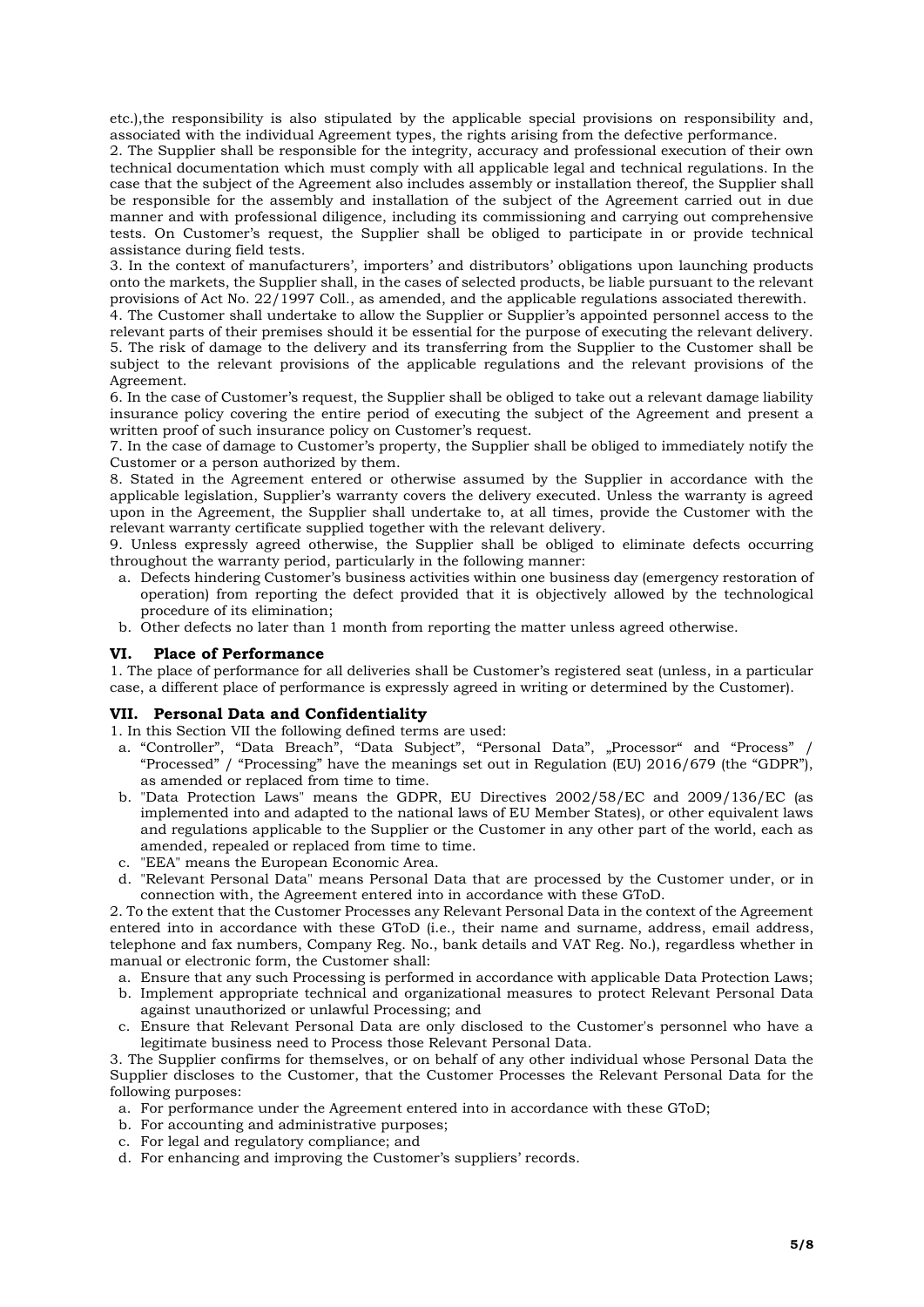etc.),the responsibility is also stipulated by the applicable special provisions on responsibility and, associated with the individual Agreement types, the rights arising from the defective performance.

2. The Supplier shall be responsible for the integrity, accuracy and professional execution of their own technical documentation which must comply with all applicable legal and technical regulations. In the case that the subject of the Agreement also includes assembly or installation thereof, the Supplier shall be responsible for the assembly and installation of the subject of the Agreement carried out in due manner and with professional diligence, including its commissioning and carrying out comprehensive tests. On Customer's request, the Supplier shall be obliged to participate in or provide technical assistance during field tests*.* 

3. In the context of manufacturers', importers' and distributors' obligations upon launching products onto the markets, the Supplier shall, in the cases of selected products, be liable pursuant to the relevant provisions of Act No. 22/1997 Coll., as amended, and the applicable regulations associated therewith.

4. The Customer shall undertake to allow the Supplier or Supplier's appointed personnel access to the relevant parts of their premises should it be essential for the purpose of executing the relevant delivery. 5. The risk of damage to the delivery and its transferring from the Supplier to the Customer shall be subject to the relevant provisions of the applicable regulations and the relevant provisions of the Agreement.

6. In the case of Customer's request, the Supplier shall be obliged to take out a relevant damage liability insurance policy covering the entire period of executing the subject of the Agreement and present a written proof of such insurance policy on Customer's request.

7. In the case of damage to Customer's property, the Supplier shall be obliged to immediately notify the Customer or a person authorized by them.

8. Stated in the Agreement entered or otherwise assumed by the Supplier in accordance with the applicable legislation, Supplier's warranty covers the delivery executed. Unless the warranty is agreed upon in the Agreement, the Supplier shall undertake to, at all times, provide the Customer with the relevant warranty certificate supplied together with the relevant delivery.

9. Unless expressly agreed otherwise, the Supplier shall be obliged to eliminate defects occurring throughout the warranty period, particularly in the following manner:

- a. Defects hindering Customer's business activities within one business day (emergency restoration of operation) from reporting the defect provided that it is objectively allowed by the technological procedure of its elimination;
- b. Other defects no later than 1 month from reporting the matter unless agreed otherwise.

#### **VI. Place of Performance**

1. The place of performance for all deliveries shall be Customer's registered seat (unless, in a particular case, a different place of performance is expressly agreed in writing or determined by the Customer).

#### **VII. Personal Data and Confidentiality**

1. In this Section VII the following defined terms are used:

- a. "Controller", "Data Breach", "Data Subject", "Personal Data", "Processor" and "Process" / "Processed" / "Processing" have the meanings set out in Regulation (EU) 2016/679 (the "GDPR"), as amended or replaced from time to time.
- b. "Data Protection Laws" means the GDPR, EU Directives 2002/58/EC and 2009/136/EC (as implemented into and adapted to the national laws of EU Member States), or other equivalent laws and regulations applicable to the Supplier or the Customer in any other part of the world, each as amended, repealed or replaced from time to time.
- c. "EEA" means the European Economic Area.
- d. "Relevant Personal Data" means Personal Data that are processed by the Customer under, or in connection with, the Agreement entered into in accordance with these GToD.

2. To the extent that the Customer Processes any Relevant Personal Data in the context of the Agreement entered into in accordance with these GToD (i.e., their name and surname, address, email address, telephone and fax numbers, Company Reg. No., bank details and VAT Reg. No.), regardless whether in manual or electronic form, the Customer shall:

- a. Ensure that any such Processing is performed in accordance with applicable Data Protection Laws;
- b. Implement appropriate technical and organizational measures to protect Relevant Personal Data against unauthorized or unlawful Processing; and
- c. Ensure that Relevant Personal Data are only disclosed to the Customer's personnel who have a legitimate business need to Process those Relevant Personal Data.

3. The Supplier confirms for themselves, or on behalf of any other individual whose Personal Data the Supplier discloses to the Customer, that the Customer Processes the Relevant Personal Data for the following purposes:

- a. For performance under the Agreement entered into in accordance with these GToD;
- b. For accounting and administrative purposes;
- c. For legal and regulatory compliance; and
- d. For enhancing and improving the Customer's suppliers' records.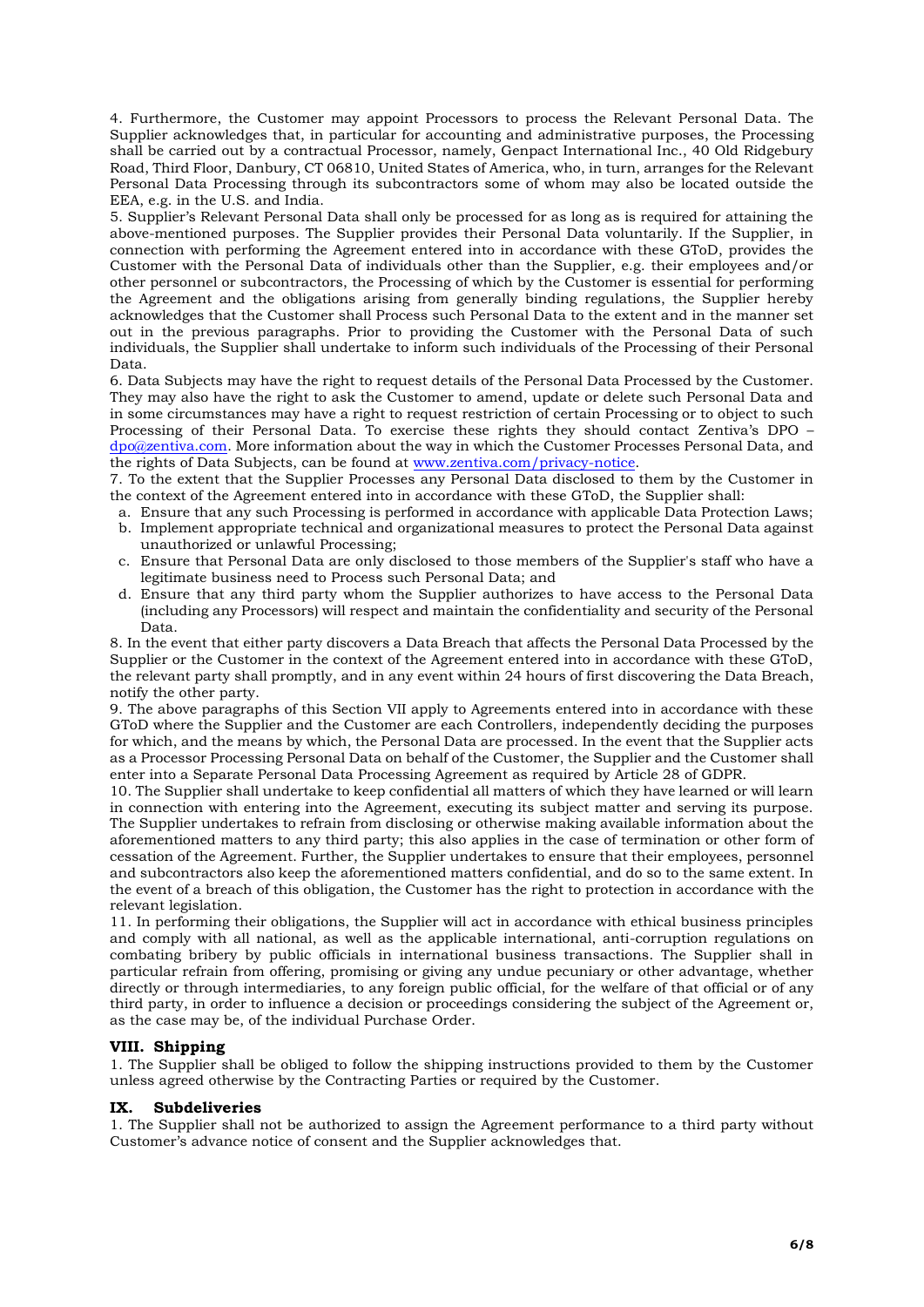4. Furthermore, the Customer may appoint Processors to process the Relevant Personal Data. The Supplier acknowledges that, in particular for accounting and administrative purposes, the Processing shall be carried out by a contractual Processor, namely, Genpact International Inc., 40 Old Ridgebury Road, Third Floor, Danbury, CT 06810, United States of America, who, in turn, arranges for the Relevant Personal Data Processing through its subcontractors some of whom may also be located outside the EEA, e.g. in the U.S. and India.

5. Supplier's Relevant Personal Data shall only be processed for as long as is required for attaining the above-mentioned purposes. The Supplier provides their Personal Data voluntarily. If the Supplier, in connection with performing the Agreement entered into in accordance with these GToD, provides the Customer with the Personal Data of individuals other than the Supplier, e.g. their employees and/or other personnel or subcontractors, the Processing of which by the Customer is essential for performing the Agreement and the obligations arising from generally binding regulations, the Supplier hereby acknowledges that the Customer shall Process such Personal Data to the extent and in the manner set out in the previous paragraphs. Prior to providing the Customer with the Personal Data of such individuals, the Supplier shall undertake to inform such individuals of the Processing of their Personal Data.

6. Data Subjects may have the right to request details of the Personal Data Processed by the Customer. They may also have the right to ask the Customer to amend, update or delete such Personal Data and in some circumstances may have a right to request restriction of certain Processing or to object to such Processing of their Personal Data. To exercise these rights they should contact Zentiva's DPO – [dpo@zentiva.com.](mailto:dpo@zentiva.com) More information about the way in which the Customer Processes Personal Data, and the rights of Data Subjects, can be found at [www.zentiva.com/privacy-notice.](http://www.zentiva.com/privacy-notice)

7. To the extent that the Supplier Processes any Personal Data disclosed to them by the Customer in the context of the Agreement entered into in accordance with these GToD, the Supplier shall:

- a. Ensure that any such Processing is performed in accordance with applicable Data Protection Laws; b. Implement appropriate technical and organizational measures to protect the Personal Data against unauthorized or unlawful Processing;
- c. Ensure that Personal Data are only disclosed to those members of the Supplier's staff who have a legitimate business need to Process such Personal Data; and
- d. Ensure that any third party whom the Supplier authorizes to have access to the Personal Data (including any Processors) will respect and maintain the confidentiality and security of the Personal Data.

8. In the event that either party discovers a Data Breach that affects the Personal Data Processed by the Supplier or the Customer in the context of the Agreement entered into in accordance with these GToD, the relevant party shall promptly, and in any event within 24 hours of first discovering the Data Breach, notify the other party.

9. The above paragraphs of this Section VII apply to Agreements entered into in accordance with these GToD where the Supplier and the Customer are each Controllers, independently deciding the purposes for which, and the means by which, the Personal Data are processed. In the event that the Supplier acts as a Processor Processing Personal Data on behalf of the Customer, the Supplier and the Customer shall enter into a Separate Personal Data Processing Agreement as required by Article 28 of GDPR.

10. The Supplier shall undertake to keep confidential all matters of which they have learned or will learn in connection with entering into the Agreement, executing its subject matter and serving its purpose. The Supplier undertakes to refrain from disclosing or otherwise making available information about the aforementioned matters to any third party; this also applies in the case of termination or other form of cessation of the Agreement. Further, the Supplier undertakes to ensure that their employees, personnel and subcontractors also keep the aforementioned matters confidential, and do so to the same extent. In the event of a breach of this obligation, the Customer has the right to protection in accordance with the relevant legislation.

11. In performing their obligations, the Supplier will act in accordance with ethical business principles and comply with all national, as well as the applicable international, anti-corruption regulations on combating bribery by public officials in international business transactions. The Supplier shall in particular refrain from offering, promising or giving any undue pecuniary or other advantage, whether directly or through intermediaries, to any foreign public official, for the welfare of that official or of any third party, in order to influence a decision or proceedings considering the subject of the Agreement or, as the case may be, of the individual Purchase Order.

## **VIII. Shipping**

1. The Supplier shall be obliged to follow the shipping instructions provided to them by the Customer unless agreed otherwise by the Contracting Parties or required by the Customer.

## **IX. Subdeliveries**

1. The Supplier shall not be authorized to assign the Agreement performance to a third party without Customer's advance notice of consent and the Supplier acknowledges that.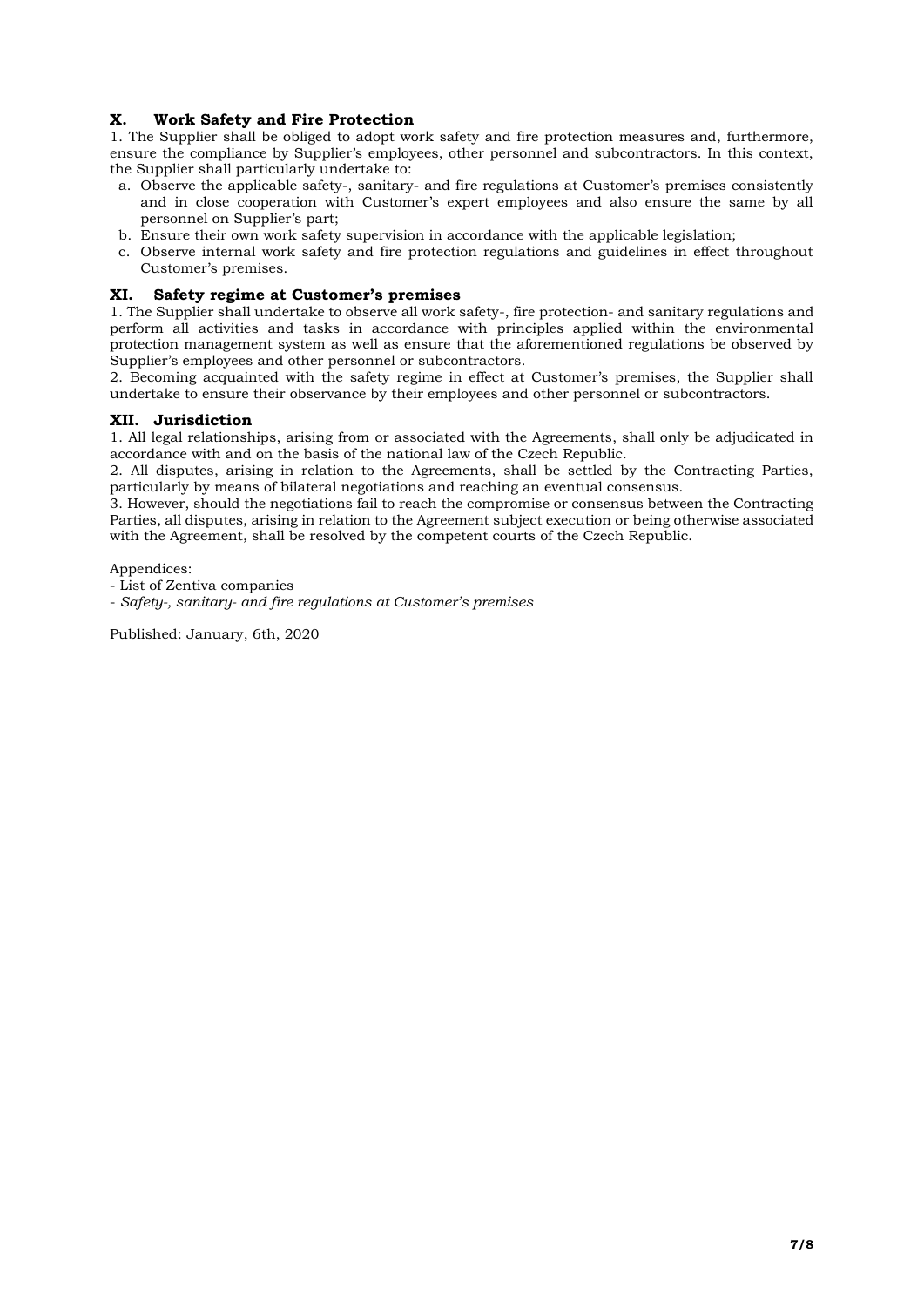## **X. Work Safety and Fire Protection**

1. The Supplier shall be obliged to adopt work safety and fire protection measures and, furthermore, ensure the compliance by Supplier's employees, other personnel and subcontractors. In this context, the Supplier shall particularly undertake to:

- a. Observe the applicable safety-, sanitary- and fire regulations at Customer's premises consistently and in close cooperation with Customer's expert employees and also ensure the same by all personnel on Supplier's part;
- b. Ensure their own work safety supervision in accordance with the applicable legislation;
- c. Observe internal work safety and fire protection regulations and guidelines in effect throughout Customer's premises.

## **XI. Safety regime at Customer's premises**

1. The Supplier shall undertake to observe all work safety-, fire protection- and sanitary regulations and perform all activities and tasks in accordance with principles applied within the environmental protection management system as well as ensure that the aforementioned regulations be observed by Supplier's employees and other personnel or subcontractors.

2. Becoming acquainted with the safety regime in effect at Customer's premises, the Supplier shall undertake to ensure their observance by their employees and other personnel or subcontractors.

## **XII. Jurisdiction**

1. All legal relationships, arising from or associated with the Agreements, shall only be adjudicated in accordance with and on the basis of the national law of the Czech Republic.

2. All disputes, arising in relation to the Agreements, shall be settled by the Contracting Parties, particularly by means of bilateral negotiations and reaching an eventual consensus.

3. However, should the negotiations fail to reach the compromise or consensus between the Contracting Parties, all disputes, arising in relation to the Agreement subject execution or being otherwise associated with the Agreement, shall be resolved by the competent courts of the Czech Republic.

Appendices:

- List of Zentiva companies
- *Safety-, sanitary- and fire regulations at Customer's premises*

Published: January, 6th, 2020